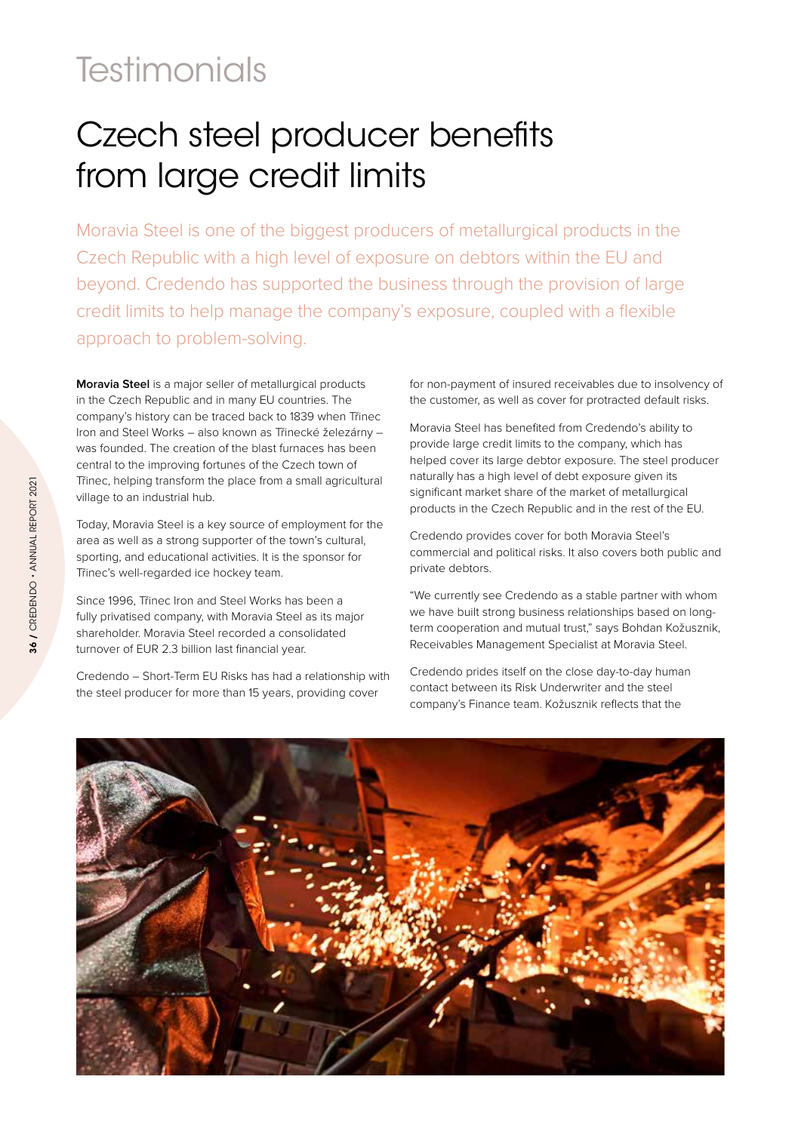## **Testimonials**

## Czech steel producer benefits from large credit limits

Moravia Steel is one of the biggest producers of metallurgical products in the Czech Republic with a high level of exposure on debtors within the EU and beyond. Credendo has supported the business through the provision of large credit limits to help manage the company's exposure, coupled with a flexible approach to problem-solving.

**Moravia Steel** is a major seller of metallurgical products in the Czech Republic and in many EU countries. The company's history can be traced back to 1839 when Třinec Iron and Steel Works – also known as Třinecké železárny – was founded. The creation of the blast furnaces has been central to the improving fortunes of the Czech town of Třinec, helping transform the place from a small agricultural village to an industrial hub.

Today, Moravia Steel is a key source of employment for the area as well as a strong supporter of the town's cultural, sporting, and educational activities. It is the sponsor for Třinec's well-regarded ice hockey team.

Since 1996, Třinec Iron and Steel Works has been a fully privatised company, with Moravia Steel as its major shareholder. Moravia Steel recorded a consolidated turnover of EUR 2.3 billion last financial year.

Credendo – Short-Term EU Risks has had a relationship with the steel producer for more than 15 years, providing cover

for non-payment of insured receivables due to insolvency of the customer, as well as cover for protracted default risks.

Moravia Steel has benefited from Credendo's ability to provide large credit limits to the company, which has helped cover its large debtor exposure. The steel producer naturally has a high level of debt exposure given its significant market share of the market of metallurgical products in the Czech Republic and in the rest of the EU.

Credendo provides cover for both Moravia Steel's commercial and political risks. It also covers both public and private debtors.

"We currently see Credendo as a stable partner with whom we have built strong business relationships based on longterm cooperation and mutual trust," says Bohdan Kožusznik, Receivables Management Specialist at Moravia Steel.

Credendo prides itself on the close day-to-day human contact between its Risk Underwriter and the steel company's Finance team. Kožusznik reflects that the